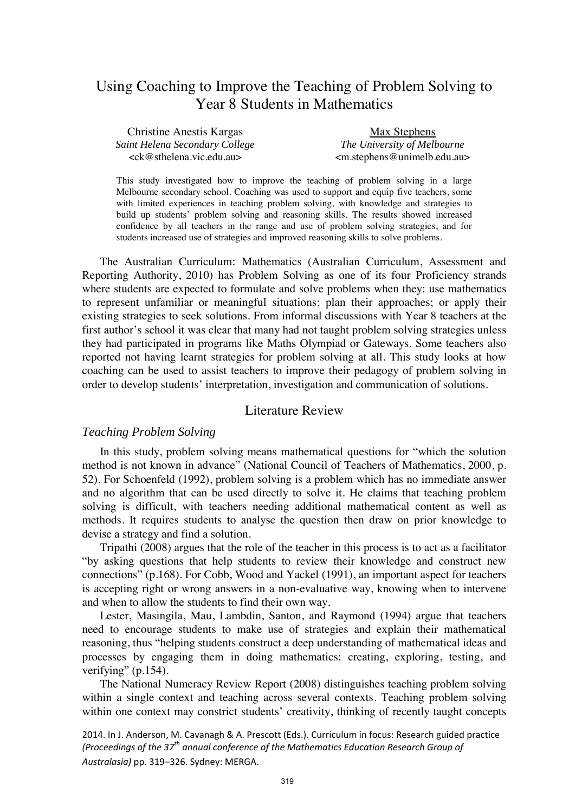# Using Coaching to Improve the Teaching of Problem Solving to Year 8 Students in Mathematics

| <b>Christine Anestis Kargas</b>                       | Max Stephens                       |
|-------------------------------------------------------|------------------------------------|
| Saint Helena Secondary College                        | The University of Melbourne        |
| $\langle c \kappa \omega \rangle$ sthelena.vic.edu.au | $\leq m.$ stephens@unimelb.edu.au> |

This study investigated how to improve the teaching of problem solving in a large Melbourne secondary school. Coaching was used to support and equip five teachers, some with limited experiences in teaching problem solving, with knowledge and strategies to build up students' problem solving and reasoning skills. The results showed increased confidence by all teachers in the range and use of problem solving strategies, and for students increased use of strategies and improved reasoning skills to solve problems.

The Australian Curriculum: Mathematics (Australian Curriculum, Assessment and Reporting Authority, 2010) has Problem Solving as one of its four Proficiency strands where students are expected to formulate and solve problems when they: use mathematics to represent unfamiliar or meaningful situations; plan their approaches; or apply their existing strategies to seek solutions. From informal discussions with Year 8 teachers at the first author's school it was clear that many had not taught problem solving strategies unless they had participated in programs like Maths Olympiad or Gateways. Some teachers also reported not having learnt strategies for problem solving at all. This study looks at how coaching can be used to assist teachers to improve their pedagogy of problem solving in order to develop students' interpretation, investigation and communication of solutions.

## Literature Review

#### *Teaching Problem Solving*

In this study, problem solving means mathematical questions for "which the solution method is not known in advance" (National Council of Teachers of Mathematics, 2000, p. 52). For Schoenfeld (1992), problem solving is a problem which has no immediate answer and no algorithm that can be used directly to solve it. He claims that teaching problem solving is difficult, with teachers needing additional mathematical content as well as methods. It requires students to analyse the question then draw on prior knowledge to devise a strategy and find a solution.

Tripathi (2008) argues that the role of the teacher in this process is to act as a facilitator "by asking questions that help students to review their knowledge and construct new connections" (p.168). For Cobb, Wood and Yackel (1991), an important aspect for teachers is accepting right or wrong answers in a non-evaluative way, knowing when to intervene and when to allow the students to find their own way.

Lester, Masingila, Mau, Lambdin, Santon, and Raymond (1994) argue that teachers need to encourage students to make use of strategies and explain their mathematical reasoning, thus "helping students construct a deep understanding of mathematical ideas and processes by engaging them in doing mathematics: creating, exploring, testing, and verifying" (p.154).

The National Numeracy Review Report (2008) distinguishes teaching problem solving within a single context and teaching across several contexts. Teaching problem solving within one context may constrict students' creativity, thinking of recently taught concepts

2014. In J. Anderson, M. Cavanagh & A. Prescott (Eds.). Curriculum in focus: Research guided practice *(Proceedings of the 37th annual conference of the Mathematics Education Research Group of Australasia)* pp. 319–326. Sydney: MERGA.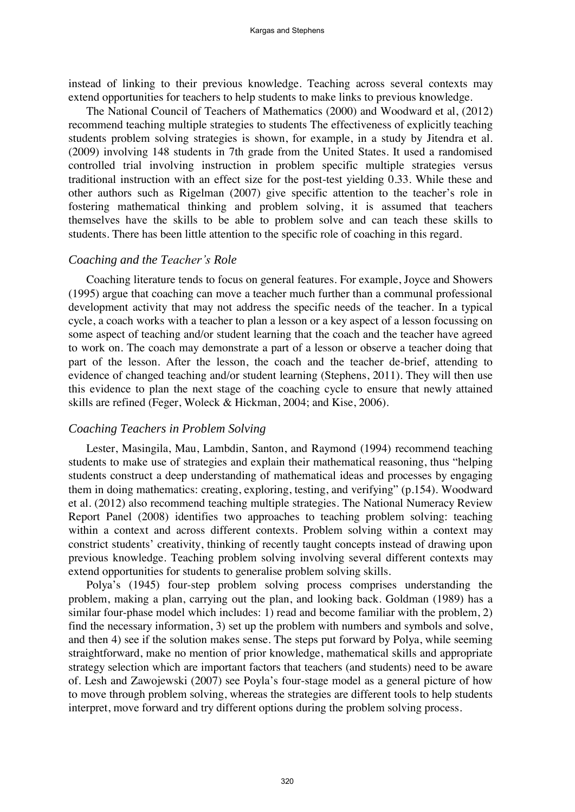instead of linking to their previous knowledge. Teaching across several contexts may extend opportunities for teachers to help students to make links to previous knowledge.

The National Council of Teachers of Mathematics (2000) and Woodward et al, (2012) recommend teaching multiple strategies to students The effectiveness of explicitly teaching students problem solving strategies is shown, for example, in a study by Jitendra et al. (2009) involving 148 students in 7th grade from the United States. It used a randomised controlled trial involving instruction in problem specific multiple strategies versus traditional instruction with an effect size for the post-test yielding 0.33. While these and other authors such as Rigelman (2007) give specific attention to the teacher's role in fostering mathematical thinking and problem solving, it is assumed that teachers themselves have the skills to be able to problem solve and can teach these skills to students. There has been little attention to the specific role of coaching in this regard.

#### *Coaching and the Teacher's Role*

Coaching literature tends to focus on general features. For example, Joyce and Showers (1995) argue that coaching can move a teacher much further than a communal professional development activity that may not address the specific needs of the teacher. In a typical cycle, a coach works with a teacher to plan a lesson or a key aspect of a lesson focussing on some aspect of teaching and/or student learning that the coach and the teacher have agreed to work on. The coach may demonstrate a part of a lesson or observe a teacher doing that part of the lesson. After the lesson, the coach and the teacher de-brief, attending to evidence of changed teaching and/or student learning (Stephens, 2011). They will then use this evidence to plan the next stage of the coaching cycle to ensure that newly attained skills are refined (Feger, Woleck & Hickman, 2004; and Kise, 2006).

#### *Coaching Teachers in Problem Solving*

Lester, Masingila, Mau, Lambdin, Santon, and Raymond (1994) recommend teaching students to make use of strategies and explain their mathematical reasoning, thus "helping students construct a deep understanding of mathematical ideas and processes by engaging them in doing mathematics: creating, exploring, testing, and verifying" (p.154). Woodward et al. (2012) also recommend teaching multiple strategies. The National Numeracy Review Report Panel (2008) identifies two approaches to teaching problem solving: teaching within a context and across different contexts. Problem solving within a context may constrict students' creativity, thinking of recently taught concepts instead of drawing upon previous knowledge. Teaching problem solving involving several different contexts may extend opportunities for students to generalise problem solving skills.

Polya's (1945) four-step problem solving process comprises understanding the problem, making a plan, carrying out the plan, and looking back. Goldman (1989) has a similar four-phase model which includes: 1) read and become familiar with the problem, 2) find the necessary information, 3) set up the problem with numbers and symbols and solve, and then 4) see if the solution makes sense. The steps put forward by Polya, while seeming straightforward, make no mention of prior knowledge, mathematical skills and appropriate strategy selection which are important factors that teachers (and students) need to be aware of. Lesh and Zawojewski (2007) see Poyla's four-stage model as a general picture of how to move through problem solving, whereas the strategies are different tools to help students interpret, move forward and try different options during the problem solving process.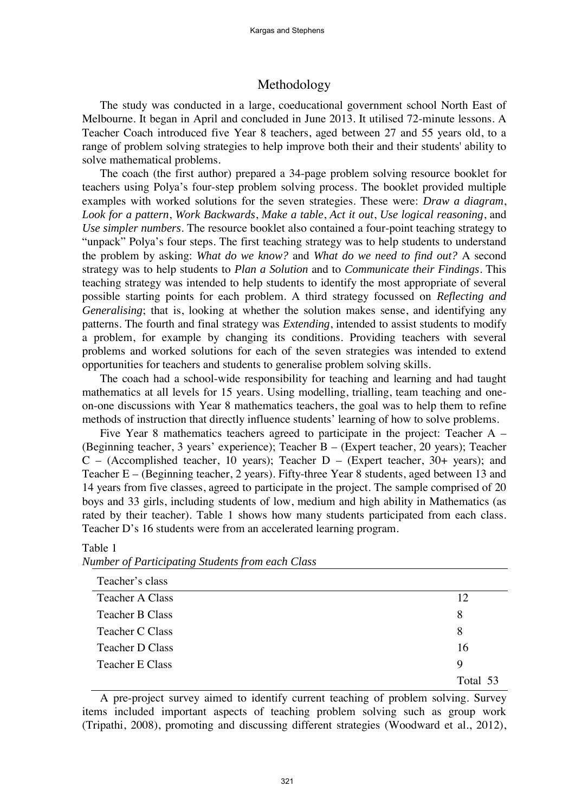## Methodology

The study was conducted in a large, coeducational government school North East of Melbourne. It began in April and concluded in June 2013. It utilised 72-minute lessons. A Teacher Coach introduced five Year 8 teachers, aged between 27 and 55 years old, to a range of problem solving strategies to help improve both their and their students' ability to solve mathematical problems.

The coach (the first author) prepared a 34-page problem solving resource booklet for teachers using Polya's four-step problem solving process. The booklet provided multiple examples with worked solutions for the seven strategies. These were: *Draw a diagram*, *Look for a pattern*, *Work Backwards*, *Make a table*, *Act it out*, *Use logical reasoning*, and *Use simpler numbers*. The resource booklet also contained a four-point teaching strategy to "unpack" Polya's four steps. The first teaching strategy was to help students to understand the problem by asking: *What do we know?* and *What do we need to find out?* A second strategy was to help students to *Plan a Solution* and to *Communicate their Findings*. This teaching strategy was intended to help students to identify the most appropriate of several possible starting points for each problem. A third strategy focussed on *Reflecting and Generalising*; that is, looking at whether the solution makes sense, and identifying any patterns. The fourth and final strategy was *Extending*, intended to assist students to modify a problem, for example by changing its conditions. Providing teachers with several problems and worked solutions for each of the seven strategies was intended to extend opportunities for teachers and students to generalise problem solving skills.

The coach had a school-wide responsibility for teaching and learning and had taught mathematics at all levels for 15 years. Using modelling, trialling, team teaching and oneon-one discussions with Year 8 mathematics teachers, the goal was to help them to refine methods of instruction that directly influence students' learning of how to solve problems.

Five Year 8 mathematics teachers agreed to participate in the project: Teacher A – (Beginning teacher, 3 years' experience); Teacher B – (Expert teacher, 20 years); Teacher  $C$  – (Accomplished teacher, 10 years); Teacher  $D$  – (Expert teacher, 30+ years); and Teacher E – (Beginning teacher, 2 years). Fifty-three Year 8 students, aged between 13 and 14 years from five classes, agreed to participate in the project. The sample comprised of 20 boys and 33 girls, including students of low, medium and high ability in Mathematics (as rated by their teacher). Table 1 shows how many students participated from each class. Teacher D's 16 students were from an accelerated learning program.

| ◡                      |          |
|------------------------|----------|
| Teacher's class        |          |
| <b>Teacher A Class</b> | 12       |
| Teacher B Class        | 8        |
| Teacher C Class        | 8        |
| Teacher D Class        | 16       |
| Teacher E Class        | 9        |
|                        | Total 53 |

## *Number of Participating Students from each Class*

Table 1

A pre-project survey aimed to identify current teaching of problem solving. Survey items included important aspects of teaching problem solving such as group work (Tripathi, 2008), promoting and discussing different strategies (Woodward et al., 2012),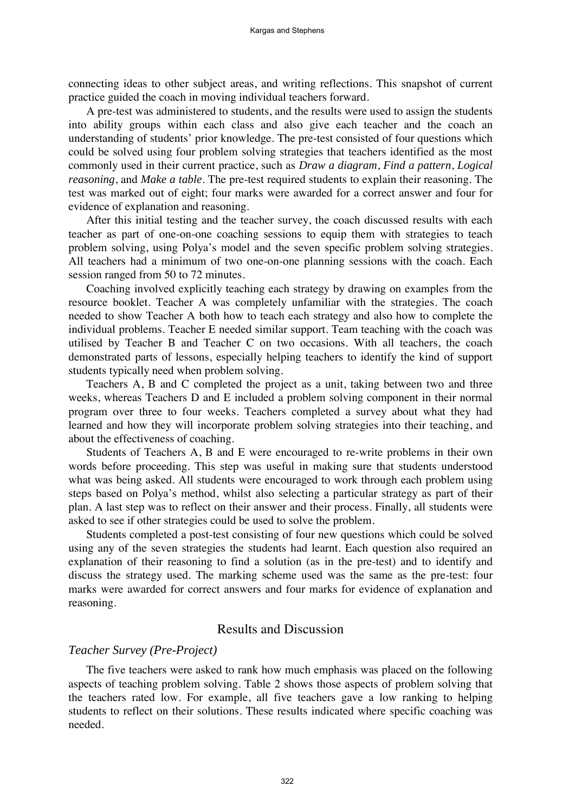connecting ideas to other subject areas, and writing reflections. This snapshot of current practice guided the coach in moving individual teachers forward.

A pre-test was administered to students, and the results were used to assign the students into ability groups within each class and also give each teacher and the coach an understanding of students' prior knowledge. The pre-test consisted of four questions which could be solved using four problem solving strategies that teachers identified as the most commonly used in their current practice, such as *Draw a diagram*, *Find a pattern*, *Logical reasoning*, and *Make a table*. The pre-test required students to explain their reasoning. The test was marked out of eight; four marks were awarded for a correct answer and four for evidence of explanation and reasoning.

After this initial testing and the teacher survey, the coach discussed results with each teacher as part of one-on-one coaching sessions to equip them with strategies to teach problem solving, using Polya's model and the seven specific problem solving strategies. All teachers had a minimum of two one-on-one planning sessions with the coach. Each session ranged from 50 to 72 minutes.

Coaching involved explicitly teaching each strategy by drawing on examples from the resource booklet. Teacher A was completely unfamiliar with the strategies. The coach needed to show Teacher A both how to teach each strategy and also how to complete the individual problems. Teacher E needed similar support. Team teaching with the coach was utilised by Teacher B and Teacher C on two occasions. With all teachers, the coach demonstrated parts of lessons, especially helping teachers to identify the kind of support students typically need when problem solving.

Teachers A, B and C completed the project as a unit, taking between two and three weeks, whereas Teachers D and E included a problem solving component in their normal program over three to four weeks. Teachers completed a survey about what they had learned and how they will incorporate problem solving strategies into their teaching, and about the effectiveness of coaching.

Students of Teachers A, B and E were encouraged to re-write problems in their own words before proceeding. This step was useful in making sure that students understood what was being asked. All students were encouraged to work through each problem using steps based on Polya's method, whilst also selecting a particular strategy as part of their plan. A last step was to reflect on their answer and their process. Finally, all students were asked to see if other strategies could be used to solve the problem.

Students completed a post-test consisting of four new questions which could be solved using any of the seven strategies the students had learnt. Each question also required an explanation of their reasoning to find a solution (as in the pre-test) and to identify and discuss the strategy used. The marking scheme used was the same as the pre-test: four marks were awarded for correct answers and four marks for evidence of explanation and reasoning.

## Results and Discussion

#### *Teacher Survey (Pre-Project)*

The five teachers were asked to rank how much emphasis was placed on the following aspects of teaching problem solving. Table 2 shows those aspects of problem solving that the teachers rated low. For example, all five teachers gave a low ranking to helping students to reflect on their solutions. These results indicated where specific coaching was needed.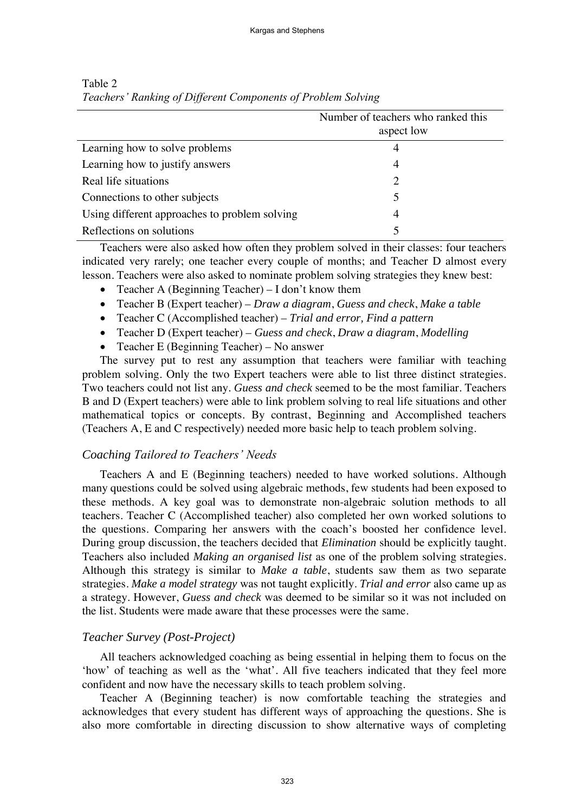|                                               | Number of teachers who ranked this<br>aspect low |
|-----------------------------------------------|--------------------------------------------------|
| Learning how to solve problems                | 4                                                |
| Learning how to justify answers               | 4                                                |
| Real life situations                          | 2                                                |
| Connections to other subjects                 | 5                                                |
| Using different approaches to problem solving | 4                                                |
| Reflections on solutions                      |                                                  |

Table 2 *Teachers' Ranking of Different Components of Problem Solving*

Teachers were also asked how often they problem solved in their classes: four teachers indicated very rarely; one teacher every couple of months; and Teacher D almost every lesson. Teachers were also asked to nominate problem solving strategies they knew best:

- Teacher A (Beginning Teacher) I don't know them
- Teacher B (Expert teacher) *Draw a diagram*, *Guess and check*, *Make a table*
- Teacher C (Accomplished teacher) *Trial and error, Find a pattern*
- Teacher D (Expert teacher) *Guess and check*, *Draw a diagram*, *Modelling*
- Teacher E (Beginning Teacher) No answer

The survey put to rest any assumption that teachers were familiar with teaching problem solving. Only the two Expert teachers were able to list three distinct strategies. Two teachers could not list any. *Guess and check* seemed to be the most familiar. Teachers B and D (Expert teachers) were able to link problem solving to real life situations and other mathematical topics or concepts. By contrast, Beginning and Accomplished teachers (Teachers A, E and C respectively) needed more basic help to teach problem solving.

## *Coaching Tailored to Teachers' Needs*

Teachers A and E (Beginning teachers) needed to have worked solutions. Although many questions could be solved using algebraic methods, few students had been exposed to these methods. A key goal was to demonstrate non-algebraic solution methods to all teachers. Teacher C (Accomplished teacher) also completed her own worked solutions to the questions. Comparing her answers with the coach's boosted her confidence level. During group discussion, the teachers decided that *Elimination* should be explicitly taught. Teachers also included *Making an organised list* as one of the problem solving strategies. Although this strategy is similar to *Make a table*, students saw them as two separate strategies. *Make a model strategy* was not taught explicitly. *Trial and error* also came up as a strategy. However, *Guess and check* was deemed to be similar so it was not included on the list. Students were made aware that these processes were the same.

## *Teacher Survey (Post-Project)*

All teachers acknowledged coaching as being essential in helping them to focus on the 'how' of teaching as well as the 'what'. All five teachers indicated that they feel more confident and now have the necessary skills to teach problem solving.

Teacher A (Beginning teacher) is now comfortable teaching the strategies and acknowledges that every student has different ways of approaching the questions. She is also more comfortable in directing discussion to show alternative ways of completing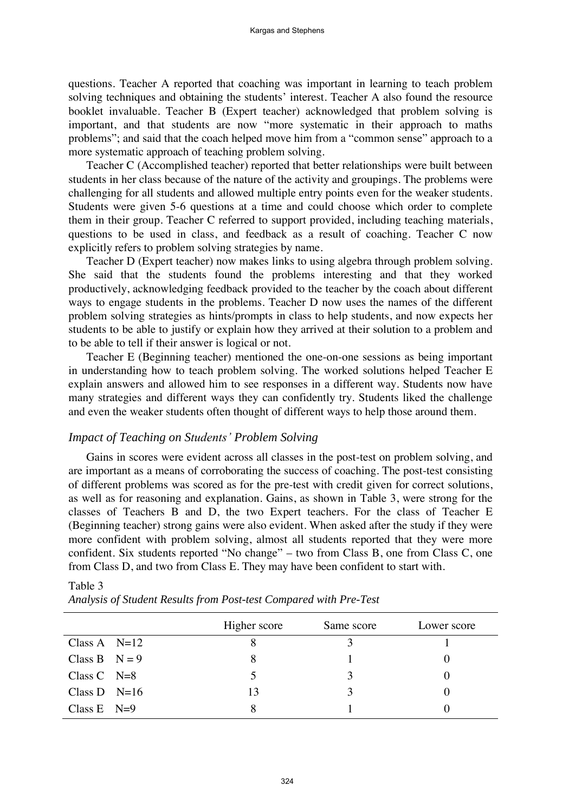questions. Teacher A reported that coaching was important in learning to teach problem solving techniques and obtaining the students' interest. Teacher A also found the resource booklet invaluable. Teacher B (Expert teacher) acknowledged that problem solving is important, and that students are now "more systematic in their approach to maths problems"; and said that the coach helped move him from a "common sense" approach to a more systematic approach of teaching problem solving.

Teacher C (Accomplished teacher) reported that better relationships were built between students in her class because of the nature of the activity and groupings. The problems were challenging for all students and allowed multiple entry points even for the weaker students. Students were given 5-6 questions at a time and could choose which order to complete them in their group. Teacher C referred to support provided, including teaching materials, questions to be used in class, and feedback as a result of coaching. Teacher C now explicitly refers to problem solving strategies by name.

Teacher D (Expert teacher) now makes links to using algebra through problem solving. She said that the students found the problems interesting and that they worked productively, acknowledging feedback provided to the teacher by the coach about different ways to engage students in the problems. Teacher D now uses the names of the different problem solving strategies as hints/prompts in class to help students, and now expects her students to be able to justify or explain how they arrived at their solution to a problem and to be able to tell if their answer is logical or not.

Teacher E (Beginning teacher) mentioned the one-on-one sessions as being important in understanding how to teach problem solving. The worked solutions helped Teacher E explain answers and allowed him to see responses in a different way. Students now have many strategies and different ways they can confidently try. Students liked the challenge and even the weaker students often thought of different ways to help those around them.

## *Impact of Teaching on Students' Problem Solving*

Gains in scores were evident across all classes in the post-test on problem solving, and are important as a means of corroborating the success of coaching. The post-test consisting of different problems was scored as for the pre-test with credit given for correct solutions, as well as for reasoning and explanation. Gains, as shown in Table 3, were strong for the classes of Teachers B and D, the two Expert teachers. For the class of Teacher E (Beginning teacher) strong gains were also evident. When asked after the study if they were more confident with problem solving, almost all students reported that they were more confident. Six students reported "No change" – two from Class B, one from Class C, one from Class D, and two from Class E. They may have been confident to start with.

|                 | Higher score | Same score | Lower score |
|-----------------|--------------|------------|-------------|
| Class A $N=12$  |              |            |             |
| Class B $N = 9$ |              |            |             |
| Class $C$ N=8   | 5            |            |             |
| Class D $N=16$  | 13           |            |             |
| Class E $N=9$   |              |            |             |

#### Table 3

|  |  | Analysis of Student Results from Post-test Compared with Pre-Test |  |
|--|--|-------------------------------------------------------------------|--|
|--|--|-------------------------------------------------------------------|--|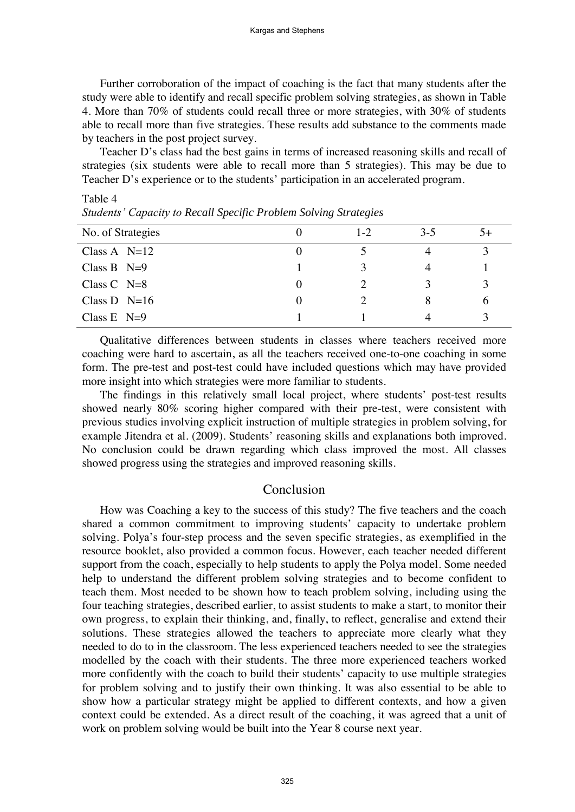Further corroboration of the impact of coaching is the fact that many students after the study were able to identify and recall specific problem solving strategies, as shown in Table 4. More than 70% of students could recall three or more strategies, with 30% of students able to recall more than five strategies. These results add substance to the comments made by teachers in the post project survey.

Teacher D's class had the best gains in terms of increased reasoning skills and recall of strategies (six students were able to recall more than 5 strategies). This may be due to Teacher D's experience or to the students' participation in an accelerated program.

| No. of Strategies | $1-2$ | $3-5$ | $5+$ |
|-------------------|-------|-------|------|
| Class A $N=12$    |       | 4     |      |
| Class B $N=9$     |       |       |      |
| Class $C$ N=8     |       |       |      |
| Class $D$ N=16    |       | 8     | O    |
| Class E $N=9$     |       |       |      |
|                   |       |       |      |

*Students' Capacity to Recall Specific Problem Solving Strategies* 

Table 4

Qualitative differences between students in classes where teachers received more coaching were hard to ascertain, as all the teachers received one-to-one coaching in some form. The pre-test and post-test could have included questions which may have provided more insight into which strategies were more familiar to students.

The findings in this relatively small local project, where students' post-test results showed nearly 80% scoring higher compared with their pre-test, were consistent with previous studies involving explicit instruction of multiple strategies in problem solving, for example Jitendra et al. (2009). Students' reasoning skills and explanations both improved. No conclusion could be drawn regarding which class improved the most. All classes showed progress using the strategies and improved reasoning skills.

#### Conclusion

How was Coaching a key to the success of this study? The five teachers and the coach shared a common commitment to improving students' capacity to undertake problem solving. Polya's four-step process and the seven specific strategies, as exemplified in the resource booklet, also provided a common focus. However, each teacher needed different support from the coach, especially to help students to apply the Polya model. Some needed help to understand the different problem solving strategies and to become confident to teach them. Most needed to be shown how to teach problem solving, including using the four teaching strategies, described earlier, to assist students to make a start, to monitor their own progress, to explain their thinking, and, finally, to reflect, generalise and extend their solutions. These strategies allowed the teachers to appreciate more clearly what they needed to do to in the classroom. The less experienced teachers needed to see the strategies modelled by the coach with their students. The three more experienced teachers worked more confidently with the coach to build their students' capacity to use multiple strategies for problem solving and to justify their own thinking. It was also essential to be able to show how a particular strategy might be applied to different contexts, and how a given context could be extended. As a direct result of the coaching, it was agreed that a unit of work on problem solving would be built into the Year 8 course next year.